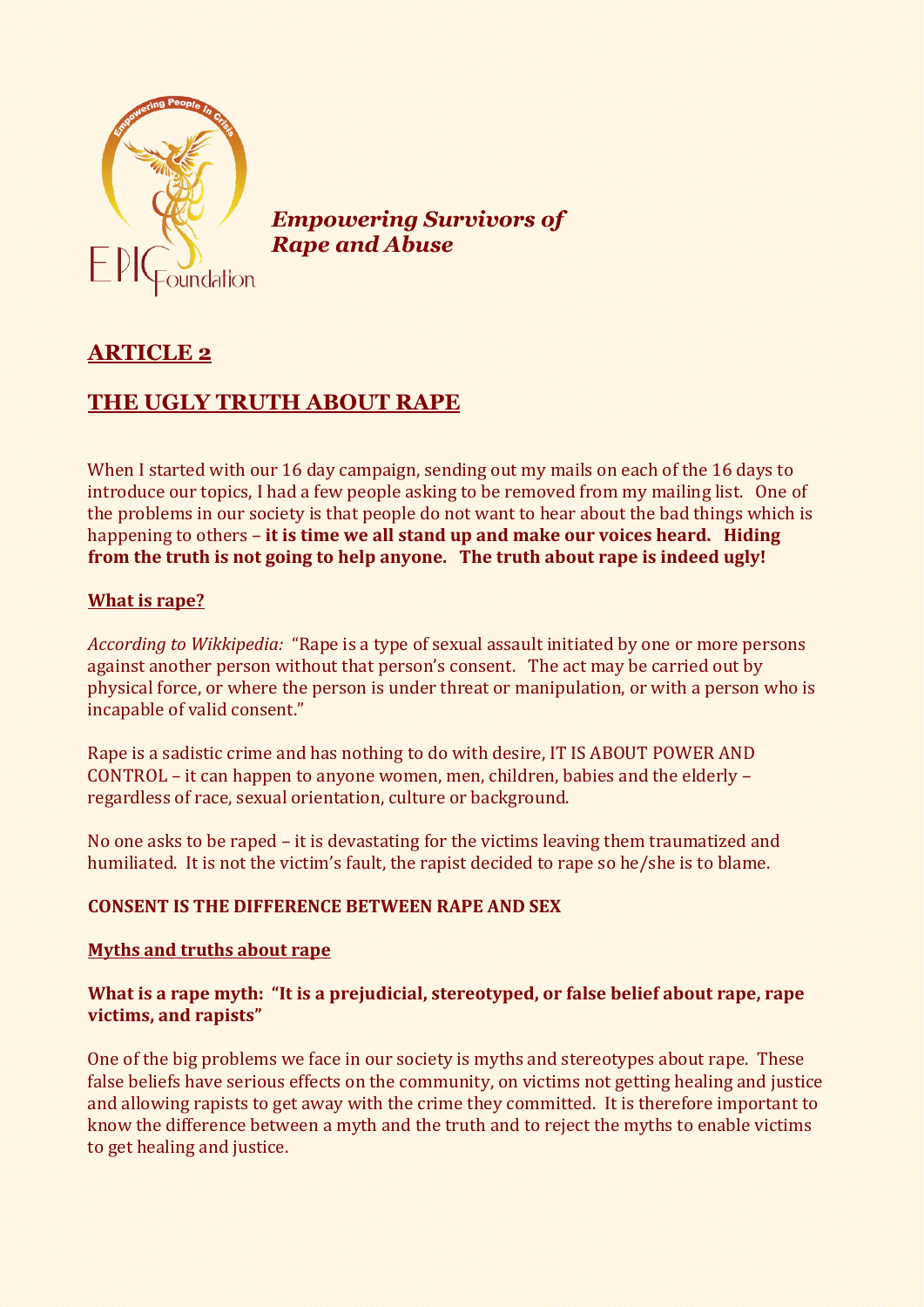

*Empowering Survivors of Rape and Abuse* 

# **ARTICLE 2**

# **THE UGLY TRUTH ABOUT RAPE**

When I started with our 16 day campaign, sending out my mails on each of the 16 days to introduce our topics, I had a few people asking to be removed from my mailing list. One of the problems in our society is that people do not want to hear about the bad things which is happening to others – **it is time we all stand up and make our voices heard. Hiding from the truth is not going to help anyone. The truth about rape is indeed ugly!**

## **What is rape?**

*According to Wikkipedia:* "Rape is a type of sexual assault initiated by one or more persons against another person without that person's consent. The act may be carried out by physical force, or where the person is under threat or manipulation, or with a person who is incapable of valid consent."

Rape is a sadistic crime and has nothing to do with desire, IT IS ABOUT POWER AND CONTROL – it can happen to anyone women, men, children, babies and the elderly – regardless of race, sexual orientation, culture or background.

No one asks to be raped – it is devastating for the victims leaving them traumatized and humiliated. It is not the victim's fault, the rapist decided to rape so he/she is to blame.

#### **CONSENT IS THE DIFFERENCE BETWEEN RAPE AND SEX**

#### **Myths and truths about rape**

## **What is a rape myth: "It is a prejudicial, stereotyped, or false belief about rape, rape victims, and rapists"**

One of the big problems we face in our society is myths and stereotypes about rape. These false beliefs have serious effects on the community, on victims not getting healing and justice and allowing rapists to get away with the crime they committed. It is therefore important to know the difference between a myth and the truth and to reject the myths to enable victims to get healing and justice.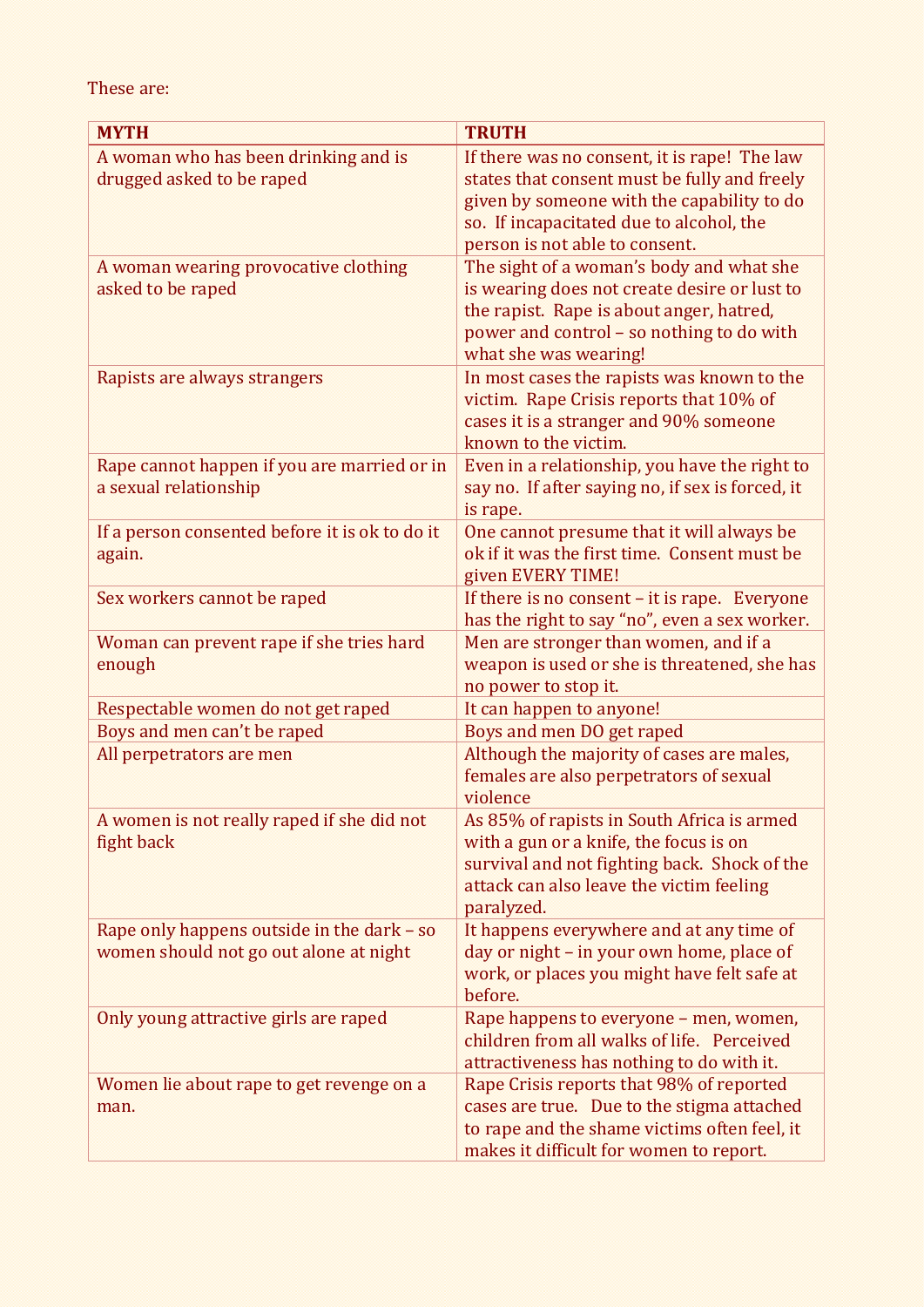These are:

| <b>MYTH</b>                                                                          | <b>TRUTH</b>                                                                                                                                                                                                             |
|--------------------------------------------------------------------------------------|--------------------------------------------------------------------------------------------------------------------------------------------------------------------------------------------------------------------------|
| A woman who has been drinking and is<br>drugged asked to be raped                    | If there was no consent, it is rape! The law<br>states that consent must be fully and freely<br>given by someone with the capability to do<br>so. If incapacitated due to alcohol, the<br>person is not able to consent. |
| A woman wearing provocative clothing<br>asked to be raped                            | The sight of a woman's body and what she<br>is wearing does not create desire or lust to<br>the rapist. Rape is about anger, hatred,<br>power and control - so nothing to do with<br>what she was wearing!               |
| Rapists are always strangers                                                         | In most cases the rapists was known to the<br>victim. Rape Crisis reports that 10% of<br>cases it is a stranger and 90% someone<br>known to the victim.                                                                  |
| Rape cannot happen if you are married or in<br>a sexual relationship                 | Even in a relationship, you have the right to<br>say no. If after saying no, if sex is forced, it<br>is rape.                                                                                                            |
| If a person consented before it is ok to do it<br>again.                             | One cannot presume that it will always be<br>ok if it was the first time. Consent must be<br>given EVERY TIME!                                                                                                           |
| Sex workers cannot be raped                                                          | If there is no consent - it is rape. Everyone<br>has the right to say "no", even a sex worker.                                                                                                                           |
| Woman can prevent rape if she tries hard<br>enough                                   | Men are stronger than women, and if a<br>weapon is used or she is threatened, she has<br>no power to stop it.                                                                                                            |
| Respectable women do not get raped                                                   | It can happen to anyone!                                                                                                                                                                                                 |
| Boys and men can't be raped                                                          | Boys and men DO get raped                                                                                                                                                                                                |
| All perpetrators are men                                                             | Although the majority of cases are males,<br>females are also perpetrators of sexual<br>violence                                                                                                                         |
| A women is not really raped if she did not<br>fight back                             | As 85% of rapists in South Africa is armed<br>with a gun or a knife, the focus is on<br>survival and not fighting back. Shock of the<br>attack can also leave the victim feeling<br>paralyzed.                           |
| Rape only happens outside in the dark - so<br>women should not go out alone at night | It happens everywhere and at any time of<br>day or night - in your own home, place of<br>work, or places you might have felt safe at<br>before.                                                                          |
| Only young attractive girls are raped                                                | Rape happens to everyone - men, women,<br>children from all walks of life. Perceived<br>attractiveness has nothing to do with it.                                                                                        |
| Women lie about rape to get revenge on a<br>man.                                     | Rape Crisis reports that 98% of reported<br>cases are true. Due to the stigma attached<br>to rape and the shame victims often feel, it<br>makes it difficult for women to report.                                        |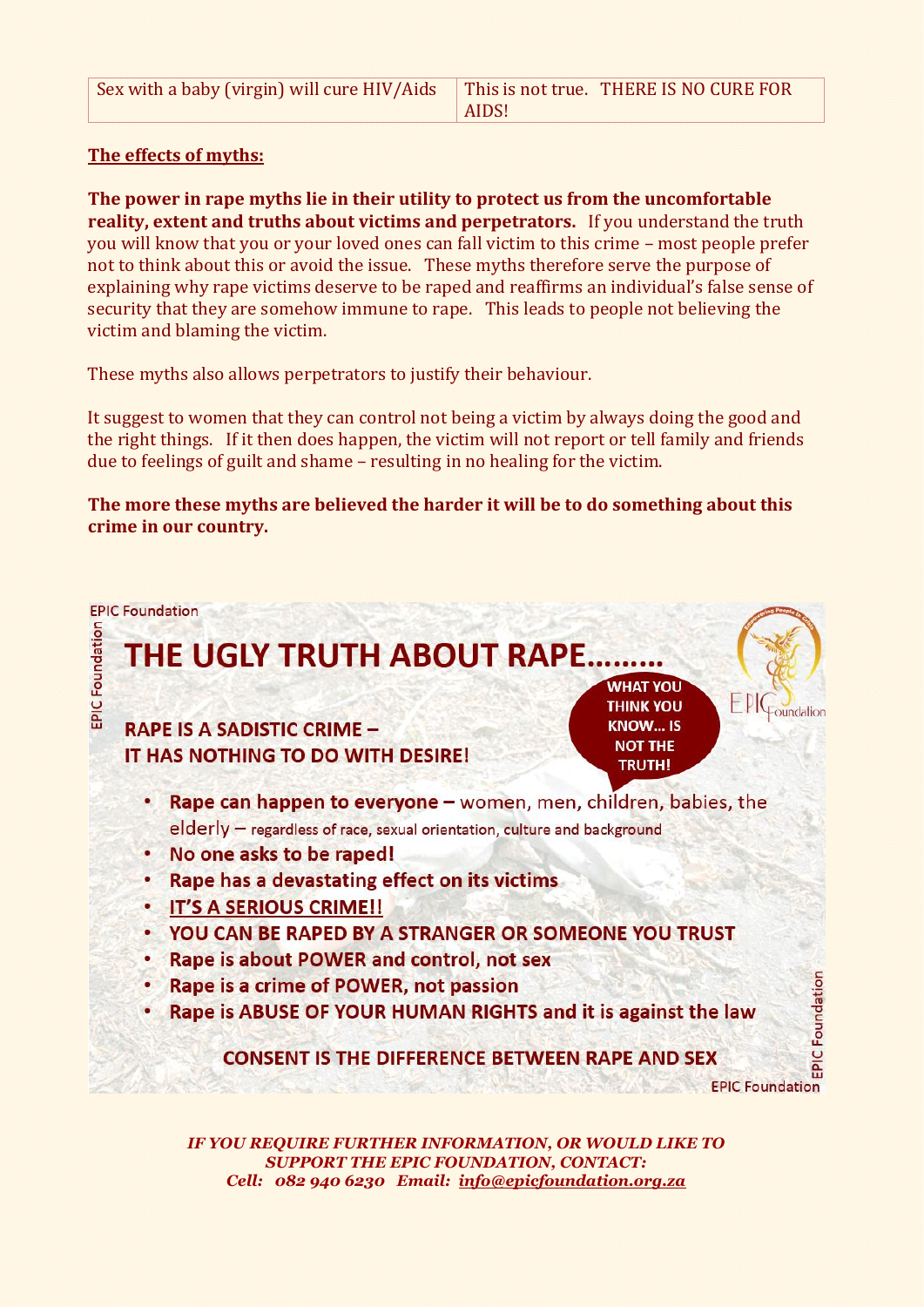#### **The effects of myths:**

**The power in rape myths lie in their utility to protect us from the uncomfortable reality, extent and truths about victims and perpetrators.** If you understand the truth you will know that you or your loved ones can fall victim to this crime – most people prefer not to think about this or avoid the issue. These myths therefore serve the purpose of explaining why rape victims deserve to be raped and reaffirms an individual's false sense of security that they are somehow immune to rape. This leads to people not believing the victim and blaming the victim.

These myths also allows perpetrators to justify their behaviour.

It suggest to women that they can control not being a victim by always doing the good and the right things. If it then does happen, the victim will not report or tell family and friends due to feelings of guilt and shame – resulting in no healing for the victim.

**The more these myths are believed the harder it will be to do something about this crime in our country.**



*SUPPORT THE EPIC FOUNDATION, CONTACT: Cell: 082 940 6230 Email: [info@epicfoundation.org.za](mailto:info@epicfoundation.org.za)*